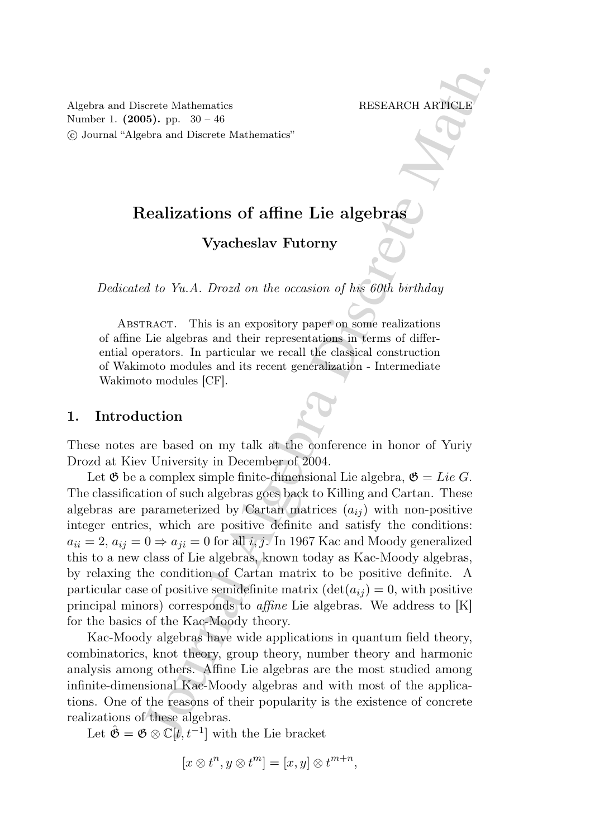Algebra and Discrete Mathematics RESEARCH ARTICLE Number 1. (2005). pp. 30 – 46 c Journal "Algebra and Discrete Mathematics"

# Realizations of affine Lie algebras

# Vyacheslav Futorny

Dedicated to Yu.A. Drozd on the occasion of his 60th birthday

ABSTRACT. This is an expository paper on some realizations of affine Lie algebras and their representations in terms of differential operators. In particular we recall the classical construction of Wakimoto modules and its recent generalization - Intermediate Wakimoto modules [CF].

#### 1. Introduction

These notes are based on my talk at the conference in honor of Yuriy Drozd at Kiev University in December of 2004.

is and the Mathematics<br>
Figure Mathematics<br>
The Spherical Algebra and Discrete Mathematics<br>
Used<br>
Lealizations of affine Lie algebras<br>
Used<br>
Used and Discrete Mathematics<br>
Tyacheslav Futorny<br>
Tyacheslav Futorny<br>
The Math. Let  $\mathfrak G$  be a complex simple finite-dimensional Lie algebra,  $\mathfrak G = Lie G$ . The classification of such algebras goes back to Killing and Cartan. These algebras are parameterized by Cartan matrices  $(a_{ij})$  with non-positive integer entries, which are positive definite and satisfy the conditions:  $a_{ii} = 2, a_{ij} = 0 \Rightarrow a_{ji} = 0$  for all i, j. In 1967 Kac and Moody generalized this to a new class of Lie algebras, known today as Kac-Moody algebras, by relaxing the condition of Cartan matrix to be positive definite. A particular case of positive semidefinite matrix  $(\det(a_{ij}) = 0, \text{ with positive})$ principal minors) corresponds to affine Lie algebras. We address to [K] for the basics of the Kac-Moody theory.

Kac-Moody algebras have wide applications in quantum field theory, combinatorics, knot theory, group theory, number theory and harmonic analysis among others. Affine Lie algebras are the most studied among infinite-dimensional Kac-Moody algebras and with most of the applications. One of the reasons of their popularity is the existence of concrete realizations of these algebras.

Let  $\hat{\mathfrak{G}} = \mathfrak{G} \otimes \mathbb{C}[t, t^{-1}]$  with the Lie bracket

$$
[x \otimes t^n, y \otimes t^m] = [x, y] \otimes t^{m+n},
$$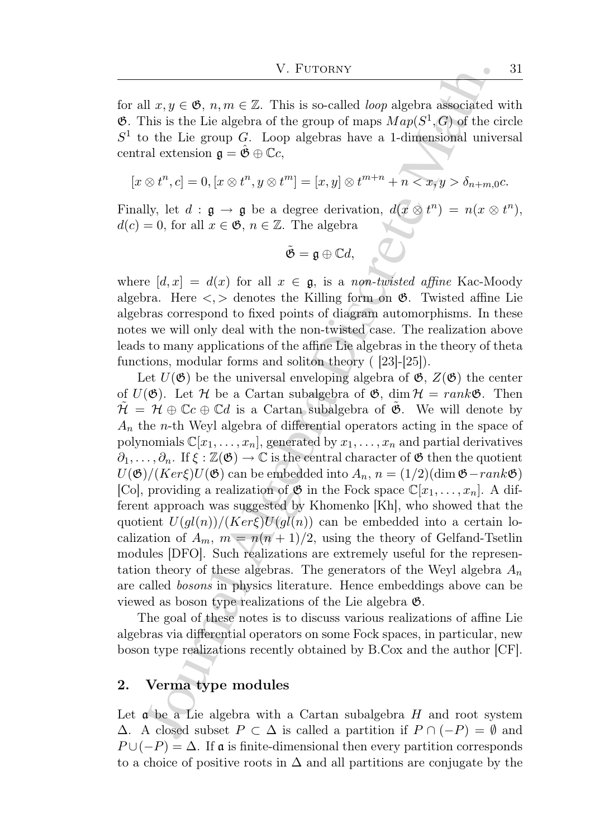for all  $x, y \in \mathfrak{G}, n, m \in \mathbb{Z}$ . This is so-called *loop* algebra associated with  $\mathfrak{G}$ . This is the Lie algebra of the group of maps  $Map(S^1, G)$  of the circle  $S<sup>1</sup>$  to the Lie group G. Loop algebras have a 1-dimensional universal central extension  $\mathfrak{g} = \hat{\mathfrak{G}} \oplus \mathbb{C}c$ ,

$$
[x \otimes t^n, c] = 0, [x \otimes t^n, y \otimes t^m] = [x, y] \otimes t^{m+n} + n < x, y > \delta_{n+m,0}c.
$$

Finally, let  $d : \mathfrak{g} \to \mathfrak{g}$  be a degree derivation,  $d(x \otimes t^n) = n(x \otimes t^n)$ ,  $d(c) = 0$ , for all  $x \in \mathfrak{G}$ ,  $n \in \mathbb{Z}$ . The algebra

$$
\tilde{\mathfrak{G}}=\mathfrak{g}\oplus \mathbb{C}d,
$$

where  $[d, x] = d(x)$  for all  $x \in \mathfrak{g}$ , is a non-twisted affine Kac-Moody algebra. Here  $\langle , \rangle$  denotes the Killing form on  $\mathfrak{G}$ . Twisted affine Lie algebras correspond to fixed points of diagram automorphisms. In these notes we will only deal with the non-twisted case. The realization above leads to many applications of the affine Lie algebras in the theory of theta functions, modular forms and soliton theory ( [23]-[25]).

V. Furtownv $\label{eq:4.1} \begin{array}{l} \text{V. Furoorov}\\ \hline \text{Li} \; \mathbf{x},y\in\mathfrak{G},\, n,m\in\mathbb{Z}. \text{ This is so-called }loop \text{ algebra associated to } \mathbb{N} \text{ is the Lie group } G. \text{ Loop algebras have a 1-dimensional unive of the group } G. \text{ Loop algebras have a 1-dimensional unive of the group } G. \text{ Loop algebras have a 1-dimensional unive of the group } G. \text{Loop algebras have a 1-dimensional unive of the group } G. \text{Loop algebras have a 1-dimensional group } \mathcal{O}(\mathcal{C}) \otimes \mathcal{C$ Let  $U(\mathfrak{G})$  be the universal enveloping algebra of  $\mathfrak{G}, Z(\mathfrak{G})$  the center of  $U(\mathfrak{G})$ . Let  $\mathcal H$  be a Cartan subalgebra of  $\mathfrak{G}$ , dim  $\mathcal H = rank \mathfrak{G}$ . Then  $\mathcal{H} = \mathcal{H} \oplus \mathbb{C}c \oplus \mathbb{C}d$  is a Cartan subalgebra of  $\mathfrak{G}$ . We will denote by  $A_n$  the n-th Weyl algebra of differential operators acting in the space of polynomials  $\mathbb{C}[x_1,\ldots,x_n]$ , generated by  $x_1,\ldots,x_n$  and partial derivatives  $\partial_1, \ldots, \partial_n$ . If  $\xi : \mathbb{Z}(\mathfrak{G}) \to \mathbb{C}$  is the central character of  $\mathfrak{G}$  then the quotient  $U(\mathfrak{G})/(Ker\xi)U(\mathfrak{G})$  can be embedded into  $A_n$ ,  $n = (1/2)(\dim \mathfrak{G}-rank\mathfrak{G})$ [Co], providing a realization of  $\mathfrak{G}$  in the Fock space  $\mathbb{C}[x_1,\ldots,x_n]$ . A different approach was suggested by Khomenko [Kh], who showed that the quotient  $U(gl(n))/(Ker \xi)U(gl(n))$  can be embedded into a certain localization of  $A_m$ ,  $m = n(n+1)/2$ , using the theory of Gelfand-Tsetlin modules [DFO]. Such realizations are extremely useful for the representation theory of these algebras. The generators of the Weyl algebra  $A_n$ are called bosons in physics literature. Hence embeddings above can be viewed as boson type realizations of the Lie algebra  $\mathfrak{G}$ .

The goal of these notes is to discuss various realizations of affine Lie algebras via differential operators on some Fock spaces, in particular, new boson type realizations recently obtained by B.Cox and the author [CF].

## 2. Verma type modules

Let  $\mathfrak a$  be a Lie algebra with a Cartan subalgebra  $H$  and root system  $\Delta$ . A closed subset  $P \subset \Delta$  is called a partition if  $P \cap (-P) = \emptyset$  and  $P \cup (-P) = \Delta$ . If a is finite-dimensional then every partition corresponds to a choice of positive roots in  $\Delta$  and all partitions are conjugate by the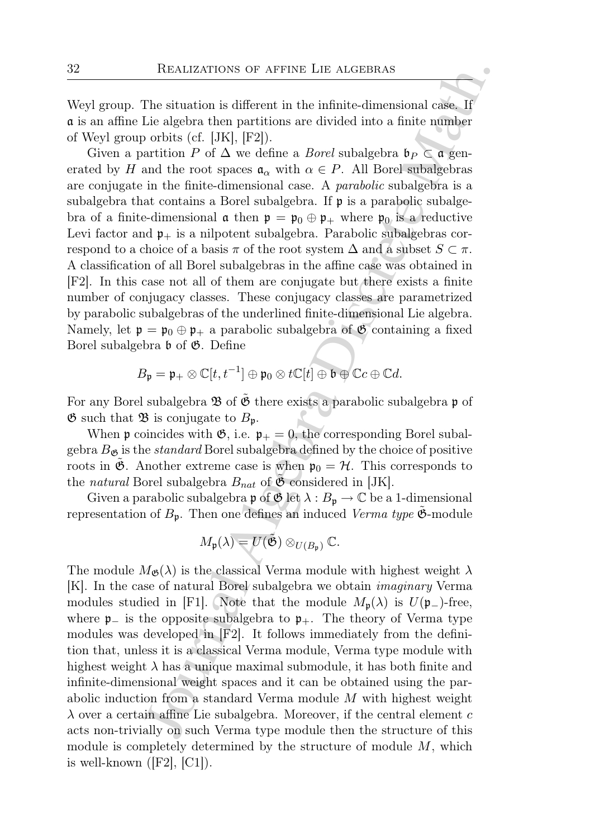Weyl group. The situation is different in the infinite-dimensional case. If a is an affine Lie algebra then partitions are divided into a finite number of Weyl group orbits (cf. [JK], [F2]).

REALIZATIONS OF AFFINE LIE ALGEBRAS<br>
The situation is different in the infinite-dimensional case, If<br>
the sighera then partitions are divided into a finite number<br>
orbits (cf. [JK], [F2]).<br>
artition P of  $\Delta$  we define a Given a partition P of  $\Delta$  we define a *Borel* subalgebra  $\mathfrak{b}_P \subset \mathfrak{a}$  generated by H and the root spaces  $\mathfrak{a}_{\alpha}$  with  $\alpha \in P$ . All Borel subalgebras are conjugate in the finite-dimensional case. A parabolic subalgebra is a subalgebra that contains a Borel subalgebra. If  $\mathfrak p$  is a parabolic subalgebra of a finite-dimensional  $\mathfrak{a}$  then  $\mathfrak{p} = \mathfrak{p}_0 \oplus \mathfrak{p}_+$  where  $\mathfrak{p}_0$  is a reductive Levi factor and  $\mathfrak{p}_+$  is a nilpotent subalgebra. Parabolic subalgebras correspond to a choice of a basis  $\pi$  of the root system  $\Delta$  and a subset  $S \subset \pi$ . A classification of all Borel subalgebras in the affine case was obtained in [F2]. In this case not all of them are conjugate but there exists a finite number of conjugacy classes. These conjugacy classes are parametrized by parabolic subalgebras of the underlined finite-dimensional Lie algebra. Namely, let  $\mathfrak{p} = \mathfrak{p}_0 \oplus \mathfrak{p}_+$  a parabolic subalgebra of  $\mathfrak{G}$  containing a fixed Borel subalgebra  $\mathfrak b$  of  $\mathfrak G$ . Define

$$
B_{\mathfrak{p}} = \mathfrak{p}_{+} \otimes \mathbb{C}[t, t^{-1}] \oplus \mathfrak{p}_{0} \otimes t\mathbb{C}[t] \oplus \mathfrak{b} \oplus \mathbb{C}c \oplus \mathbb{C}d.
$$

For any Borel subalgebra  $\mathfrak B$  of  $\mathfrak G$  there exists a parabolic subalgebra p of  $\mathfrak G$  such that  $\mathfrak B$  is conjugate to  $B_{\mathfrak p}$ .

When **p** coincides with  $\mathfrak{G}$ , i.e.  $\mathfrak{p}_+ = 0$ , the corresponding Borel subalgebra  $B_{\mathfrak{G}}$  is the *standard* Borel subalgebra defined by the choice of positive roots in  $\mathfrak{G}$ . Another extreme case is when  $\mathfrak{p}_0 = \mathcal{H}$ . This corresponds to the natural Borel subalgebra  $B_{nat}$  of  $\mathfrak G$  considered in [JK].

Given a parabolic subalgebra  $\mathfrak p$  of  $\mathfrak G$  let  $\lambda : B_{\mathfrak p} \to \mathbb C$  be a 1-dimensional representation of  $B_p$ . Then one defines an induced Verma type  $\mathfrak{G}$ -module

$$
M_{\mathfrak{p}}(\lambda) = U(\tilde{\mathfrak{G}}) \otimes_{U(B_{\mathfrak{p}})} \mathbb{C}.
$$

The module  $M_{\mathfrak{G}}(\lambda)$  is the classical Verma module with highest weight  $\lambda$ [K]. In the case of natural Borel subalgebra we obtain imaginary Verma modules studied in [F1]. Note that the module  $M_{\mathfrak{p}}(\lambda)$  is  $U(\mathfrak{p}_-)$ -free, where  $\mathfrak{p}_-$  is the opposite subalgebra to  $\mathfrak{p}_+$ . The theory of Verma type modules was developed in [F2]. It follows immediately from the definition that, unless it is a classical Verma module, Verma type module with highest weight  $\lambda$  has a unique maximal submodule, it has both finite and infinite-dimensional weight spaces and it can be obtained using the parabolic induction from a standard Verma module M with highest weight  $\lambda$  over a certain affine Lie subalgebra. Moreover, if the central element c acts non-trivially on such Verma type module then the structure of this module is completely determined by the structure of module  $M$ , which is well-known  $([F2], [C1])$ .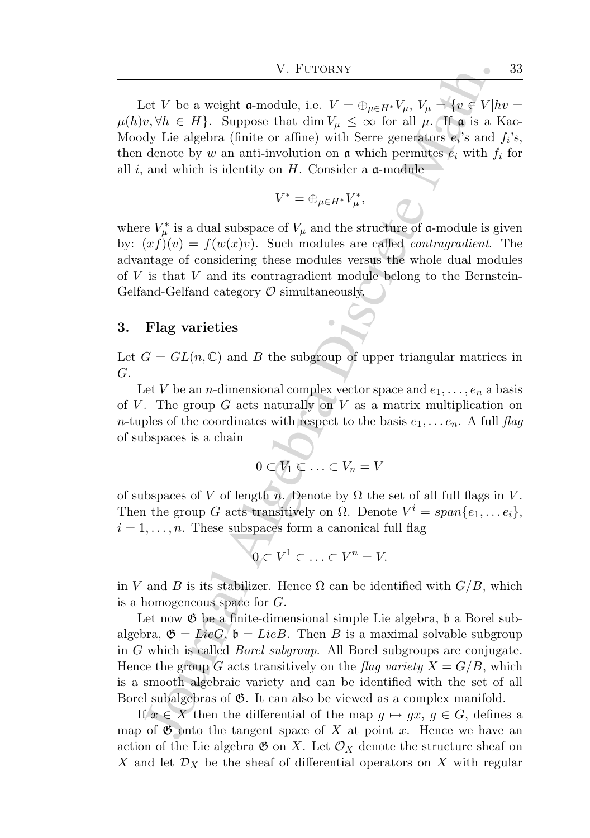Let V be a weight a-module, i.e.  $V = \bigoplus_{\mu \in H^*} V_{\mu}, V_{\mu} = \{v \in V | hv =$  $\mu(h)v, \forall h \in H$ . Suppose that  $\dim V_\mu \leq \infty$  for all  $\mu$ . If  $\mathfrak{a}$  is a Kac-Moody Lie algebra (finite or affine) with Serre generators  $e_i$ 's and  $f_i$ 's, then denote by w an anti-involution on  $\alpha$  which permutes  $e_i$  with  $f_i$  for all  $i$ , and which is identity on  $H$ . Consider a  $\alpha$ -module

$$
V^* = \oplus_{\mu \in H^*} V^*_{\mu},
$$

where  $V^*_{\mu}$  is a dual subspace of  $V_{\mu}$  and the structure of **a**-module is given by:  $(xf)(v) = f(w(x)v)$ . Such modules are called *contragradient*. The advantage of considering these modules versus the whole dual modules of  $V$  is that  $V$  and its contragradient module belong to the Bernstein-Gelfand-Gelfand category  $\mathcal O$  simultaneously.

#### 3. Flag varieties

Let  $G = GL(n, \mathbb{C})$  and B the subgroup of upper triangular matrices in G.

Let V be an *n*-dimensional complex vector space and  $e_1, \ldots, e_n$  a basis of V. The group G acts naturally on V as a matrix multiplication on *n*-tuples of the coordinates with respect to the basis  $e_1, \ldots e_n$ . A full flag of subspaces is a chain

$$
0\subset V_1\subset\ldots\subset V_n=V
$$

of subspaces of V of length n. Denote by  $\Omega$  the set of all full flags in V. Then the group G acts transitively on  $\Omega$ . Denote  $V^i = span\{e_1, \ldots e_i\},\$  $i = 1, \ldots, n$ . These subspaces form a canonical full flag

$$
0 \subset V^1 \subset \ldots \subset V^n = V.
$$

in V and B is its stabilizer. Hence  $\Omega$  can be identified with  $G/B$ , which is a homogeneous space for G.

V. Furtons<br>
V. Furtons<br>  $V$  and  $V$  and  $V$  and  $V = \oplus_{p \in H^*} V_p$ ,  $V_p = \{p \in V | h,$ <br>  $v, \forall h \in H$ . Suppose that dim  $V_n \leq \infty$  for all  $\mu$ ,  $\{\Gamma \mid \Gamma_0 \}$  is a by<br>
dy Lie algebra (finitie or affine) with Serre generators  $\epsilon_i$ Let now  $\mathfrak G$  be a finite-dimensional simple Lie algebra,  $\mathfrak b$  a Borel subalgebra,  $\mathfrak{G} = Lie G$ ,  $\mathfrak{b} = Lie B$ . Then B is a maximal solvable subgroup in G which is called Borel subgroup. All Borel subgroups are conjugate. Hence the group G acts transitively on the flag variety  $X = G/B$ , which is a smooth algebraic variety and can be identified with the set of all Borel subalgebras of  $\mathfrak{G}$ . It can also be viewed as a complex manifold.

If  $x \in X$  then the differential of the map  $g \mapsto gx, g \in G$ , defines a map of  $\mathfrak{G}$  onto the tangent space of X at point x. Hence we have an action of the Lie algebra  $\mathfrak{G}$  on X. Let  $\mathcal{O}_X$  denote the structure sheaf on X and let  $\mathcal{D}_X$  be the sheaf of differential operators on X with regular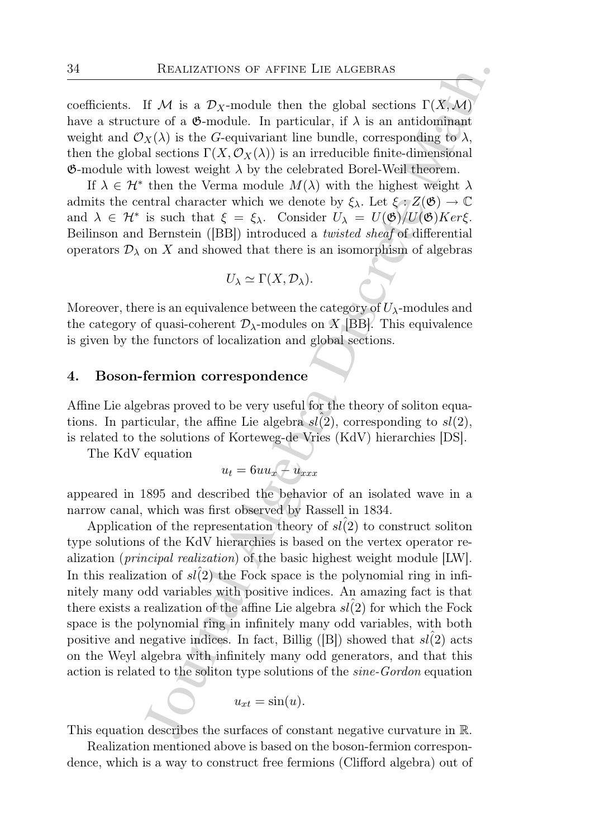coefficients. If M is a  $\mathcal{D}_X$ -module then the global sections  $\Gamma(X,\mathcal{M})$ have a structure of a  $\mathfrak{G}\text{-module}$ . In particular, if  $\lambda$  is an antidominant weight and  $\mathcal{O}_X(\lambda)$  is the G-equivariant line bundle, corresponding to  $\lambda$ , then the global sections  $\Gamma(X, \mathcal{O}_X(\lambda))$  is an irreducible finite-dimensional **G**-module with lowest weight  $\lambda$  by the celebrated Borel-Weil theorem.

If  $\lambda \in \mathcal{H}^*$  then the Verma module  $M(\lambda)$  with the highest weight  $\lambda$ admits the central character which we denote by  $\xi_{\lambda}$ . Let  $\xi : Z(\mathfrak{G}) \to \mathbb{C}$ and  $\lambda \in \mathcal{H}^*$  is such that  $\xi = \xi_{\lambda}$ . Consider  $U_{\lambda} = U(\mathfrak{G})/U(\mathfrak{G})Ker\xi$ . Beilinson and Bernstein ([BB]) introduced a twisted sheaf of differential operators  $\mathcal{D}_{\lambda}$  on X and showed that there is an isomorphism of algebras

$$
U_{\lambda} \simeq \Gamma(X, \mathcal{D}_{\lambda}).
$$

Moreover, there is an equivalence between the category of  $U_{\lambda}$ -modules and the category of quasi-coherent  $\mathcal{D}_{\lambda}$ -modules on X [BB]. This equivalence is given by the functors of localization and global sections.

#### 4. Boson-fermion correspondence

Affine Lie algebras proved to be very useful for the theory of soliton equations. In particular, the affine Lie algebra  $sl(2)$ , corresponding to  $sl(2)$ , is related to the solutions of Korteweg-de Vries (KdV) hierarchies [DS].

The KdV equation

$$
u_t = 6uu_x + u_{xxx}
$$

appeared in 1895 and described the behavior of an isolated wave in a narrow canal, which was first observed by Rassell in 1834.

REALIZATIONS OF AFFINE LIE ALGEBRAS<br>
If  ${\cal M}$  is a  ${\cal D}_X$ -module then the global sections  $\Gamma(X;{\cal M})$ <br>
ure of a de-module. In particular, if  $\Lambda$  is an antidomymate  $\chi(X)$  is the  $G$ -equivariant line bundle, correspondin Application of the representation theory of  $sl(2)$  to construct soliton type solutions of the KdV hierarchies is based on the vertex operator realization (principal realization) of the basic highest weight module [LW]. In this realization of  $sl(2)$  the Fock space is the polynomial ring in infinitely many odd variables with positive indices. An amazing fact is that there exists a realization of the affine Lie algebra  $sl(2)$  for which the Fock space is the polynomial ring in infinitely many odd variables, with both positive and negative indices. In fact, Billig ([B]) showed that  $sl(2)$  acts on the Weyl algebra with infinitely many odd generators, and that this action is related to the soliton type solutions of the sine-Gordon equation

$$
u_{xt} = \sin(u).
$$

This equation describes the surfaces of constant negative curvature in R.

Realization mentioned above is based on the boson-fermion correspondence, which is a way to construct free fermions (Clifford algebra) out of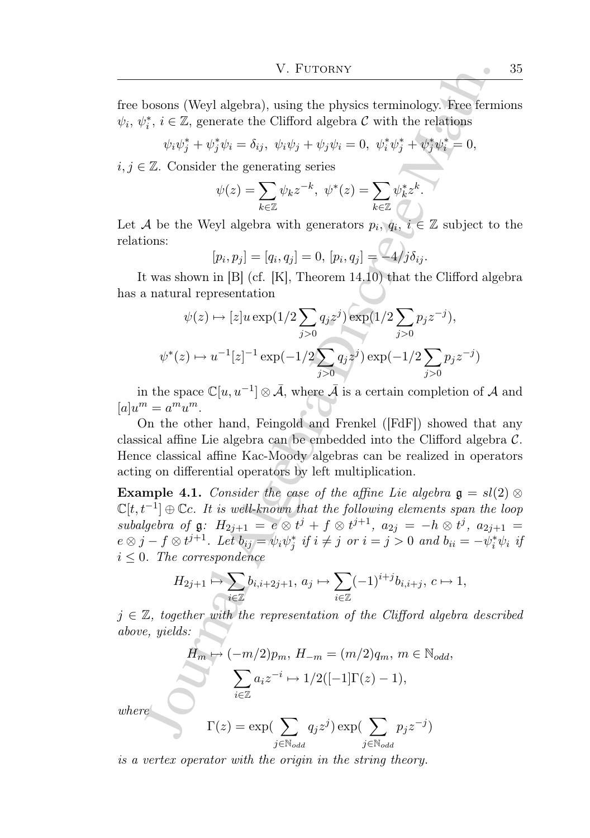free bosons (Weyl algebra), using the physics terminology. Free fermions  $\psi_i, \, \psi_i^*, \, i \in \mathbb{Z}$ , generate the Clifford algebra  $\mathcal C$  with the relations

$$
\psi_i \psi_j^* + \psi_j^* \psi_i = \delta_{ij}, \ \psi_i \psi_j + \psi_j \psi_i = 0, \ \psi_i^* \psi_j^* + \psi_j^* \psi_i^* = 0,
$$

 $i, j \in \mathbb{Z}$ . Consider the generating series

$$
\psi(z) = \sum_{k \in \mathbb{Z}} \psi_k z^{-k}, \ \psi^*(z) = \sum_{k \in \mathbb{Z}} \psi_k^* z^k.
$$

Let A be the Weyl algebra with generators  $p_i, q_i, i \in \mathbb{Z}$  subject to the relations:

$$
[p_i, p_j] = [q_i, q_j] = 0, [p_i, q_j] = 4/j\delta_{ij}.
$$

It was shown in [B] (cf. [K], Theorem 14.10) that the Clifford algebra has a natural representation

$$
\psi(z) \mapsto [z]u \exp(1/2 \sum_{j>0} q_j z^j) \exp(1/2 \sum_{j>0} p_j z^{-j}),
$$
  

$$
\psi^*(z) \mapsto u^{-1}[z]^{-1} \exp(-1/2 \sum_{j>0} q_j z^j) \exp(-1/2 \sum_{j>0} p_j z^{-j})
$$

in the space  $\mathbb{C}[u, u^{-1}] \otimes \overline{\mathcal{A}}$ , where  $\overline{\mathcal{A}}$  is a certain completion of  $\mathcal{A}$  and  $[a]u^m = a^m u^m.$ 

On the other hand, Feingold and Frenkel ([FdF]) showed that any classical affine Lie algebra can be embedded into the Clifford algebra C. Hence classical affine Kac-Moody algebras can be realized in operators acting on differential operators by left multiplication.

V. Furtonary<br>
V. Furtonary<br>
bosons (Weyl algebra), using the physics terminology. Free ferm<br>  $\psi_i, i \in \mathbb{Z}$ , generate the Clifford algebra C with the relations<br>  $\psi_i \psi_j^* + \psi_j^* \psi_i = \delta_{ij}, \ \psi_i \psi_j + \psi_j \psi_i = 0, \ \psi_i^* \psi_j^* + \psi_j^*$ **Example 4.1.** Consider the case of the affine Lie algebra  $\mathfrak{g} = sl(2)$  ⊗  $\mathbb{C}[t,t^{-1}] \oplus \mathbb{C}c$ . It is well-known that the following elements span the loop subalgebra of  $\mathfrak{g}: H_{2j+1} = e \otimes t^j + f \otimes t^{j+1}, a_{2j} = -h \otimes t^j, a_{2j+1} =$  $e \otimes j - f \otimes t^{j+1}$ . Let  $b_{ij} = \psi_i \psi_j^*$  if  $i \neq j$  or  $i = j > 0$  and  $b_{ii} = -\psi_i^* \psi_i$  if  $i \leq 0$ . The correspondence

$$
H_{2j+1}\mapsto \sum_{i\in\mathbb{Z}}b_{i,i+2j+1},\ a_j\mapsto \sum_{i\in\mathbb{Z}}(-1)^{i+j}b_{i,i+j},\ c\mapsto 1,
$$

 $j \in \mathbb{Z}$ , together with the representation of the Clifford algebra described above, yields:

$$
H_m \mapsto (-m/2)p_m, H_{-m} = (m/2)q_m, m \in \mathbb{N}_{odd},
$$

$$
\sum_{i \in \mathbb{Z}} a_i z^{-i} \mapsto 1/2([-1]\Gamma(z) - 1),
$$

 $where$ 

$$
\Gamma(z) = \exp\left(\sum_{j \in \mathbb{N}_{odd}} q_j z^j\right) \exp\left(\sum_{j \in \mathbb{N}_{odd}} p_j z^{-j}\right)
$$

is a vertex operator with the origin in the string theory.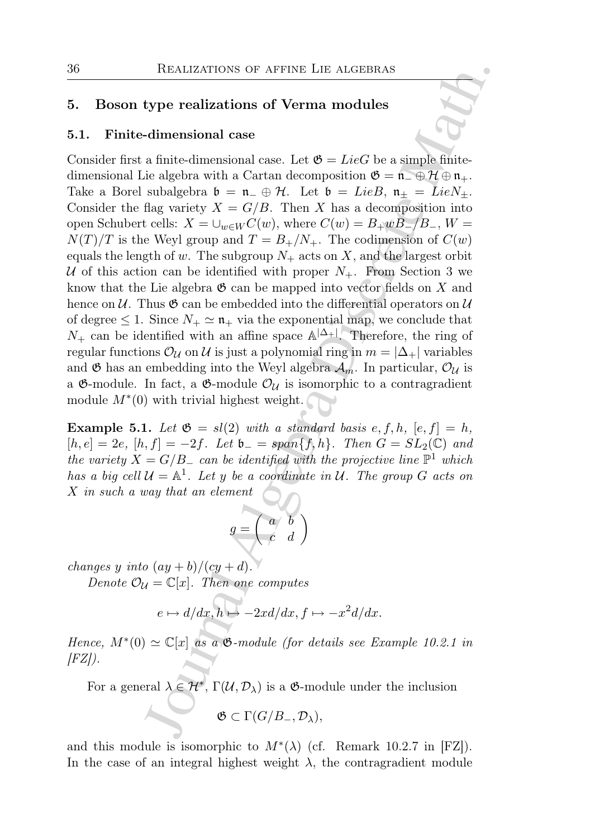### 5. Boson type realizations of Verma modules

#### 5.1. Finite-dimensional case

REALIZATIONS OF AFFINE LIE ALGEBRAS<br>
type realizations of Verma modules<br>
dimensional case.<br>
Let  $\Phi = LieG$  be a simple finite-<br>
dimensional case.<br>
a finite-dimensional case. Let  $\Phi = LieG$  be a simple finite-<br>
discrete Math. Ca Consider first a finite-dimensional case. Let  $\mathfrak{G} = LieG$  be a simple finitedimensional Lie algebra with a Cartan decomposition  $\mathfrak{G} = \mathfrak{n}_{-} \oplus \mathcal{H} \oplus \mathfrak{n}_{+}$ . Take a Borel subalgebra  $\mathfrak{b} = \mathfrak{n}_- \oplus \mathcal{H}$ . Let  $\mathfrak{b} = LieB$ ,  $\mathfrak{n}_+ = LieN_+$ . Consider the flag variety  $X = G/B$ . Then X has a decomposition into open Schubert cells:  $X = \bigcup_{w \in W} C(w)$ , where  $C(w) = B_+ w B_- / B_-$ ,  $W =$  $N(T)/T$  is the Weyl group and  $T = B_+/N_+$ . The codimension of  $C(w)$ equals the length of w. The subgroup  $N_+$  acts on X, and the largest orbit U of this action can be identified with proper  $N_{+}$ . From Section 3 we know that the Lie algebra  $\mathfrak{G}$  can be mapped into vector fields on X and hence on  $\mathcal U$ . Thus  $\mathfrak G$  can be embedded into the differential operators on  $\mathcal U$ of degree  $\leq 1$ . Since  $N_+ \simeq \mathfrak{n}_+$  via the exponential map, we conclude that  $N_{+}$  can be identified with an affine space  $\mathbb{A}^{|\Delta_{+}|}$ . Therefore, the ring of regular functions  $\mathcal{O}_\mathcal{U}$  on  $\mathcal{U}$  is just a polynomial ring in  $m = |\Delta_+|$  variables and  $\mathfrak G$  has an embedding into the Weyl algebra  $\mathcal A_m$ . In particular,  $\mathcal O_\mathcal U$  is a  $\mathfrak{G}\text{-module}$ . In fact, a  $\mathfrak{G}\text{-module}$   $\mathcal{O}_U$  is isomorphic to a contragradient module  $M^*(0)$  with trivial highest weight.

**Example 5.1.** Let  $\mathfrak{G} = sl(2)$  with a standard basis e, f, h,  $[e, f] = h$ ,  $[h, e] = 2e$ ,  $[h, f] = -2f$ . Let  $\mathfrak{b} = span\{f, h\}$ . Then  $G = SL_2(\mathbb{C})$  and the variety  $X = G/B$  can be identified with the projective line  $\mathbb{P}^1$  which has a big cell  $\mathcal{U} = \mathbb{A}^1$ . Let y be a coordinate in  $\mathcal{U}$ . The group G acts on X in such a way that an element

$$
g = \left(\begin{array}{cc} a & b \\ c & d \end{array}\right)
$$

changes y into  $(ay + b)/(cy + d)$ .

Denote  $\mathcal{O}_\mathcal{U} = \mathbb{C}[x]$ . Then one computes

$$
e \mapsto d/dx, h \mapsto -2xd/dx, f \mapsto -x^2d/dx.
$$

Hence,  $M^*(0) \simeq \mathbb{C}[x]$  as a  $\mathfrak{G}\text{-module}$  (for details see Example 10.2.1 in  $[FZ]$ ).

For a general  $\lambda \in \mathcal{H}^*, \Gamma(\mathcal{U}, \mathcal{D}_\lambda)$  is a  $\mathfrak{G}\text{-module under the inclusion}$ 

$$
\mathfrak{G}\subset \Gamma(G/B_-,\mathcal{D}_\lambda),
$$

and this module is isomorphic to  $M^*(\lambda)$  (cf. Remark 10.2.7 in [FZ]). In the case of an integral highest weight  $\lambda$ , the contragradient module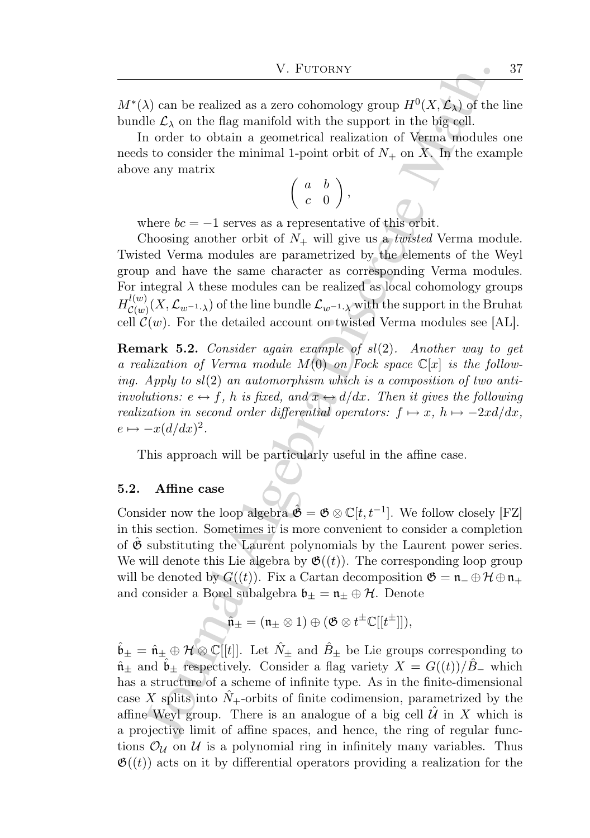$M^*(\lambda)$  can be realized as a zero cohomology group  $H^0(X, \mathcal{L}_{\lambda})$  of the line bundle  $\mathcal{L}_{\lambda}$  on the flag manifold with the support in the big cell.

In order to obtain a geometrical realization of Verma modules one needs to consider the minimal 1-point orbit of  $N_{+}$  on X. In the example above any matrix

$$
\left(\begin{array}{cc}a&b\\c&0\end{array}\right),
$$

where  $bc = -1$  serves as a representative of this orbit.

Choosing another orbit of  $N_+$  will give us a *twisted* Verma module. Twisted Verma modules are parametrized by the elements of the Weyl group and have the same character as corresponding Verma modules. For integral  $\lambda$  these modules can be realized as local cohomology groups  $H_{\mathcal{C}(w)}^{l(w)}$  $\mathcal{L}_{\mathcal{C}(w)}^{(w)}(X,\mathcal{L}_{w^{-1}\cdot \lambda})$  of the line bundle  $\mathcal{L}_{w^{-1}\cdot \lambda}$  with the support in the Bruhat cell  $\mathcal{C}(w)$ . For the detailed account on twisted Verma modules see [AL].

**Remark 5.2.** Consider again example of  $sl(2)$ . Another way to get a realization of Verma module  $M(0)$  on Fock space  $\mathbb{C}[x]$  is the following. Apply to  $sl(2)$  an automorphism which is a composition of two antiinvolutions:  $e \leftrightarrow f$ , h is fixed, and  $x \leftrightarrow d/dx$ . Then it gives the following realization in second order differential operators:  $f \mapsto x$ ,  $h \mapsto -2xd/dx$ ,  $e \mapsto -x(d/dx)^2$ .

This approach will be particularly useful in the affine case.

#### 5.2. Affine case

Consider now the loop algebra  $\hat{\mathfrak{G}} = \mathfrak{G} \otimes \mathbb{C}[t, t^{-1}]$ . We follow closely [FZ] in this section. Sometimes it is more convenient to consider a completion of  $\mathfrak G$  substituting the Laurent polynomials by the Laurent power series. We will denote this Lie algebra by  $\mathfrak{G}((t))$ . The corresponding loop group will be denoted by  $G((t))$ . Fix a Cartan decomposition  $\mathfrak{G} = \mathfrak{n} - \oplus \mathcal{H} \oplus \mathfrak{n}_+$ and consider a Borel subalgebra  $\mathfrak{b}_{\pm} = \mathfrak{n}_{\pm} \oplus \mathcal{H}$ . Denote

$$
\hat{\mathfrak{n}}_{\pm}=(\mathfrak{n}_{\pm}\otimes 1)\oplus (\mathfrak{G}\otimes t^{\pm}\mathbb{C}[[t^{\pm}]]),
$$

V. Furtonsw<br>
(V. Furtonsw<br>
(N) can be realized as a zero cohomology group  $H^0(X, \mathcal{L}_X)$  of the<br>
le  $\mathcal{L}_X$  on the flag manifold with the support in the big cell.<br>
In order to obtain a geometrical realization of Verma  $\hat{\mathfrak{b}}_{\pm} = \hat{\mathfrak{n}}_{\pm} \oplus \mathcal{H} \otimes \mathbb{C}[[t]]$ . Let  $\hat{N}_{\pm}$  and  $\hat{B}_{\pm}$  be Lie groups corresponding to  $\hat{\mathfrak{n}}$ <sup>±</sup> and  $\mathfrak{b}_\pm$  respectively. Consider a flag variety  $X = G((t))/B$ <sup>−</sup> which has a structure of a scheme of infinite type. As in the finite-dimensional case X splits into  $N_{+}$ -orbits of finite codimension, parametrized by the affine Weyl group. There is an analogue of a big cell  $\mathcal U$  in X which is a projective limit of affine spaces, and hence, the ring of regular functions  $\mathcal{O}_\mathcal{U}$  on  $\mathcal{U}$  is a polynomial ring in infinitely many variables. Thus  $\mathfrak{G}(\mathfrak{t})$  acts on it by differential operators providing a realization for the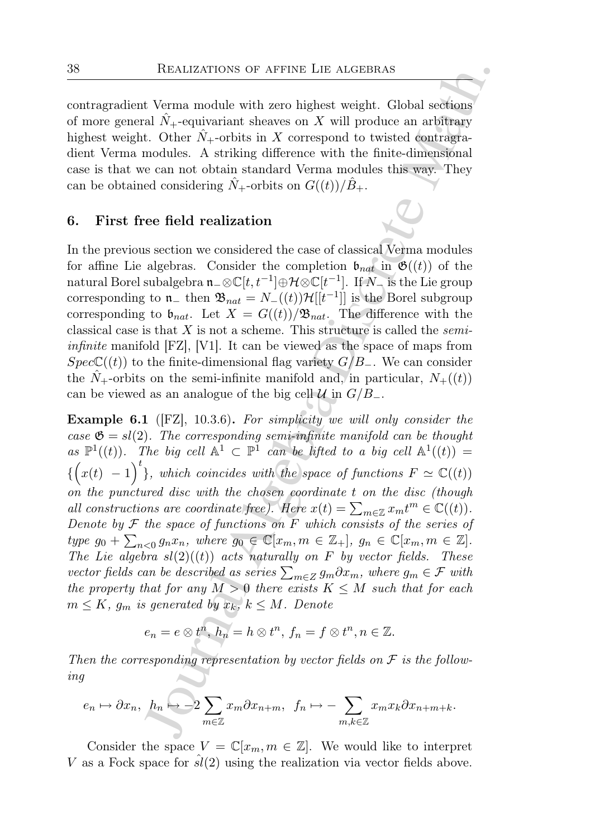contragradient Verma module with zero highest weight. Global sections of more general  $N_{+}$ -equivariant sheaves on X will produce an arbitrary highest weight. Other  $N_{+}$ -orbits in X correspond to twisted contragradient Verma modules. A striking difference with the finite-dimensional case is that we can not obtain standard Verma modules this way. They can be obtained considering  $\tilde{N}_+$ -orbits on  $G((t))/B_+$ .

#### 6. First free field realization

In the previous section we considered the case of classical Verma modules for affine Lie algebras. Consider the completion  $\mathfrak{b}_{nat}$  in  $\mathfrak{G}((t))$  of the natural Borel subalgebra  $\mathfrak{n}_-\otimes \mathbb C[t, t^{-1}]\oplus \mathcal{H} \otimes \mathbb C[t^{-1}].$  If  $N_-$  is the Lie group corresponding to  $\mathfrak{n}_-$  then  $\mathfrak{B}_{nat} = N_-(t) \mathfrak{H}[[t^{-1}]]$  is the Borel subgroup corresponding to  $\mathfrak{b}_{nat}$ . Let  $X = G((t))/\mathfrak{B}_{nat}$ . The difference with the classical case is that  $X$  is not a scheme. This structure is called the *semiinfinite* manifold  $|FZ|$ ,  $|V1|$ . It can be viewed as the space of maps from  $Spec\mathbb{C}((t))$  to the finite-dimensional flag variety  $G/B_-\$ . We can consider the  $\hat{N}_{+}$ -orbits on the semi-infinite manifold and, in particular,  $N_{+}((t))$ can be viewed as an analogue of the big cell  $\mathcal{U}$  in  $G/B_-\$ .

REALIZATIONS OF AFFINE LIE ALGEBRAS<br>
1 Verma module with zero highest weight. Global sections<br>
21 N<sub>1</sub>-continuis aboves on X will produce an arbitrary<br>
1. Other  $\hat{N}_+$ -corbits in X correspond to twisted contror<br>
21. Oth Example 6.1 ([FZ], 10.3.6). For simplicity we will only consider the case  $\mathfrak{G} = sl(2)$ . The corresponding semi-infinite manifold can be thought as  $\mathbb{P}^1((t))$ . The big cell  $\mathbb{A}^1 \subset \mathbb{P}^1$  can be lifted to a big cell  $\mathbb{A}^1((t)) =$  $\{ (x(t) - 1)^t \}$ , which coincides with the space of functions  $F \simeq \mathbb{C}((t))$ on the punctured disc with the chosen coordinate t on the disc (though all constructions are coordinate free). Here  $x(t) = \sum_{m \in \mathbb{Z}} x_m t^m \in \mathbb{C}((t)).$ Denote by  $F$  the space of functions on  $F$  which consists of the series of type  $g_0 + \sum_{n<0} g_n x_n$ , where  $g_0 \in \mathbb{C}[x_m, m \in \mathbb{Z}_+]$ ,  $g_n \in \mathbb{C}[x_m, m \in \mathbb{Z}]$ . The Lie algebra  $sl(2)$ ((t)) acts naturally on F by vector fields. These vector fields can be described as series  $\sum_{m\in Z}g_m\partial x_m$ , where  $g_m\in\mathcal{F}$  with the property that for any  $M > 0$  there exists  $K \leq M$  such that for each  $m \leq K$ ,  $g_m$  is generated by  $x_k$ ,  $k \leq M$ . Denote

$$
e_n=e\otimes t^n, h_n=h\otimes t^n, f_n=f\otimes t^n, n\in\mathbb{Z}.
$$

Then the corresponding representation by vector fields on  $\mathcal F$  is the following

$$
e_n \mapsto \partial x_n
$$
,  $h_n \mapsto -2 \sum_{m \in \mathbb{Z}} x_m \partial x_{n+m}$ ,  $f_n \mapsto -\sum_{m,k \in \mathbb{Z}} x_m x_k \partial x_{n+m+k}$ .

Consider the space  $V = \mathbb{C}[x_m, m \in \mathbb{Z}]$ . We would like to interpret V as a Fock space for  $sl(2)$  using the realization via vector fields above.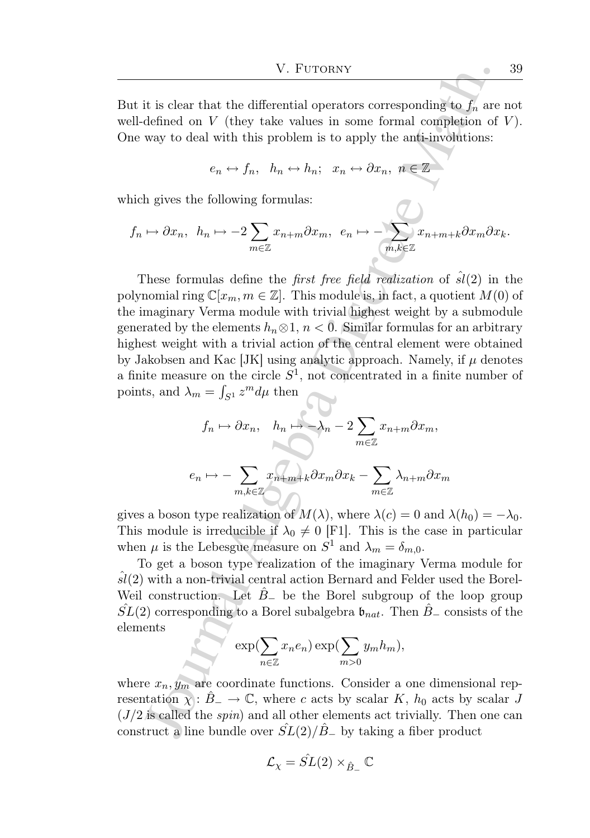But it is clear that the differential operators corresponding to  $f_n$  are not well-defined on  $V$  (they take values in some formal completion of  $V$ ). One way to deal with this problem is to apply the anti-involutions:

$$
e_n \leftrightarrow f_n, \quad h_n \leftrightarrow h_n; \quad x_n \leftrightarrow \partial x_n, \ n \in \mathbb{Z}
$$

which gives the following formulas:

$$
f_n \mapsto \partial x_n
$$
,  $h_n \mapsto -2 \sum_{m \in \mathbb{Z}} x_{n+m} \partial x_m$ ,  $e_n \mapsto -\sum_{m,k \in \mathbb{Z}} x_{n+m+k} \partial x_m \partial x_k$ .

V. Furtownv $\begin{array}{l} \text{V. Furoorov}\\ \hline \end{array}$  W. Furtownv <br>
it is clear that the differential operators corresponding to<br> $f_n$  are defined on  $V$  (they take values in some formal completion of<br>way to deal with this problem is to These formulas define the *first free field realization* of  $\hat{sl}(2)$  in the polynomial ring  $\mathbb{C}[x_m, m \in \mathbb{Z}]$ . This module is, in fact, a quotient  $M(0)$  of the imaginary Verma module with trivial highest weight by a submodule generated by the elements  $h_n \otimes 1$ ,  $n < 0$ . Similar formulas for an arbitrary highest weight with a trivial action of the central element were obtained by Jakobsen and Kac [JK] using analytic approach. Namely, if  $\mu$  denotes a finite measure on the circle  $S^1$ , not concentrated in a finite number of points, and  $\lambda_m = \int_{S^1} z^m d\mu$  then

$$
f_n \mapsto \partial x_n, \quad h_n \mapsto -\lambda_n - 2 \sum_{m \in \mathbb{Z}} x_{n+m} \partial x_m,
$$

$$
e_n \mapsto -\sum_{m,k \in \mathbb{Z}} x_{n+m+k} \partial x_m \partial x_k - \sum_{m \in \mathbb{Z}} \lambda_{n+m} \partial x_m
$$

gives a boson type realization of  $M(\lambda)$ , where  $\lambda(c) = 0$  and  $\lambda(h_0) = -\lambda_0$ . This module is irreducible if  $\lambda_0 \neq 0$  [F1]. This is the case in particular when  $\mu$  is the Lebesgue measure on  $S^1$  and  $\lambda_m = \delta_{m,0}$ .

To get a boson type realization of the imaginary Verma module for  $sl(2)$  with a non-trivial central action Bernard and Felder used the Borel-Weil construction. Let  $B_-\,$  be the Borel subgroup of the loop group  $SL(2)$  corresponding to a Borel subalgebra  $\mathfrak{b}_{nat}$ . Then  $B_-\$ consists of the elements

$$
\int \exp(\sum_{n\in\mathbb{Z}} x_n e_n) \exp(\sum_{m>0} y_m h_m),
$$

where  $x_n, y_m$  are coordinate functions. Consider a one dimensional representation  $\chi : B_-\to \mathbb{C}$ , where c acts by scalar K,  $h_0$  acts by scalar J  $(J/2)$  is called the *spin*) and all other elements act trivially. Then one can construct a line bundle over  $SL(2)/B_+$  by taking a fiber product

$$
\mathcal{L}_{\chi} = \hat{SL}(2) \times_{\hat{B}_-} \mathbb{C}
$$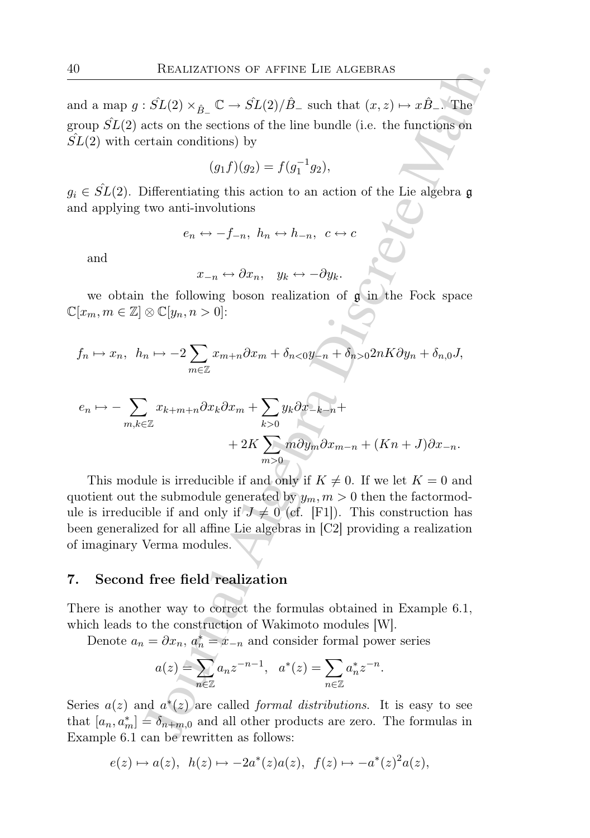and a map  $g : \hat{SL}(2) \times_{\hat{B}^-} \mathbb{C} \to \hat{SL}(2)/\hat{B}^-$  such that  $(x, z) \mapsto x\hat{B}^-$ . The group  $\hat{SL}(2)$  acts on the sections of the line bundle (i.e. the functions on  $SL(2)$  with certain conditions) by

$$
(g_1 f)(g_2) = f(g_1^{-1} g_2),
$$

 $g_i \in \hat{SL}(2)$ . Differentiating this action to an action of the Lie algebra g and applying two anti-involutions

$$
e_n \leftrightarrow -f_{-n}, \ h_n \leftrightarrow h_{-n}, \ c \leftrightarrow c
$$

and

$$
x_{-n} \leftrightarrow \partial x_n, \quad y_k \leftrightarrow -\partial y_k.
$$

we obtain the following boson realization of  $\mathfrak{g}$  in the Fock space  $\mathbb{C}[x_m, m \in \mathbb{Z}] \otimes \mathbb{C}[y_n, n > 0]$ :

$$
f_n \mapsto x_n
$$
,  $h_n \mapsto -2 \sum_{m \in \mathbb{Z}} x_{m+n} \partial x_m + \delta_{n < 0} y_{-n} + \delta_{n > 0} 2nK \partial y_n + \delta_{n,0} J$ 

$$
e_n \mapsto -\sum_{m,k \in \mathbb{Z}} x_{k+m+n} \partial x_k \partial x_m + \sum_{k>0} y_k \partial x_{-k-n} +
$$
  
+ 2K  $\sum_{m>0} m \partial y_m \partial x_{m-n} + (Kn+J) \partial x_{-n}.$ 

REALIZATIONS OF AFFINE LIE ALGEBRAS<br>  $\overline{S}L(2) \times_{\beta_{\perp}} C \rightarrow \overline{SL}(2)/\hat{D}$ , such that  $(x, z) \mapsto x\hat{B}$ . The<br>
eacts on the sections of the line bundle (i.e. the functions on<br>
train conditions) by<br>  $(g_f f)(g_2) = f(g_1^{-1}g_2)$ ,<br> This module is irreducible if and only if  $K \neq 0$ . If we let  $K = 0$  and quotient out the submodule generated by  $y_m$ ,  $m > 0$  then the factormodule is irreducible if and only if  $J \neq 0$  (cf. [F1]). This construction has been generalized for all affine Lie algebras in [C2] providing a realization of imaginary Verma modules.

#### 7. Second free field realization

There is another way to correct the formulas obtained in Example 6.1, which leads to the construction of Wakimoto modules [W].

Denote  $a_n = \partial x_n$ ,  $a_n^* = x_{-n}$  and consider formal power series

$$
a(z) = \sum_{n \in \mathbb{Z}} a_n z^{-n-1}, \quad a^*(z) = \sum_{n \in \mathbb{Z}} a_n^* z^{-n}.
$$

Series  $a(z)$  and  $a^*(z)$  are called *formal distributions*. It is easy to see that  $[a_n, a_m^*] = \delta_{n+m,0}$  and all other products are zero. The formulas in Example 6.1 can be rewritten as follows:

$$
e(z) \mapsto a(z), \ h(z) \mapsto -2a^*(z)a(z), \ f(z) \mapsto -a^*(z)^2a(z),
$$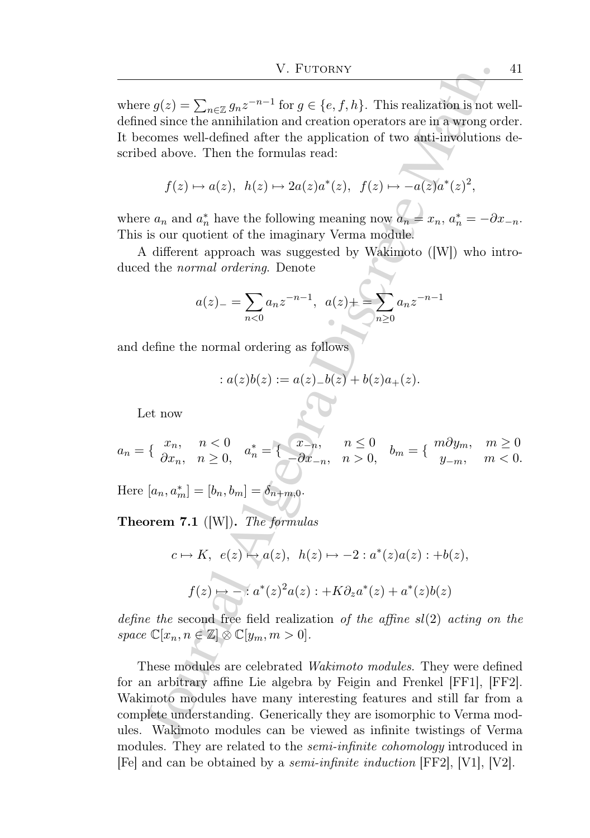where  $g(z) = \sum_{n \in \mathbb{Z}} g_n z^{-n-1}$  for  $g \in \{e, f, h\}$ . This realization is not welldefined since the annihilation and creation operators are in a wrong order. It becomes well-defined after the application of two anti-involutions described above. Then the formulas read:

$$
f(z) \mapsto a(z), \ h(z) \mapsto 2a(z)a^*(z), \ f(z) \mapsto -a(z)a^*(z)^2,
$$

where  $a_n$  and  $a_n^*$  have the following meaning now  $a_n = x_n$ ,  $a_n^* = -\partial x_{-n}$ . This is our quotient of the imaginary Verma module.

A different approach was suggested by Wakimoto ([W]) who introduced the normal ordering. Denote

$$
a(z)_{-} = \sum_{n<0} a_n z^{-n-1}, \ \ a(z)_{+} = \sum_{n\geq 0} a_n z^{-n-1}
$$

and define the normal ordering as follows

$$
: a(z)b(z) := a(z)_{-}b(z) + b(z)a_{+}(z).
$$

Let now

$$
a_n = \begin{cases} x_n, & n < 0 \\ \partial x_n, & n \ge 0 \end{cases}, \quad a_n^* = \begin{cases} x_{-n}, & n \le 0 \\ -\partial x_{-n}, & n > 0 \end{cases}, \quad b_m = \begin{cases} m \partial y_m, & m \ge 0 \\ y_{-m}, & m < 0 \end{cases}
$$

Here  $[a_n, a_m^*] = [b_n, b_m] = \delta_{n+m,0}$ .

Theorem 7.1 ([W]). The formulas

$$
c \mapsto K, \ e(z) \mapsto a(z), \ h(z) \mapsto -2 : a^*(z)a(z) : +b(z),
$$

$$
f(z) \mapsto -: a^*(z)^2 a(z) : +K \partial_z a^*(z) + a^*(z)b(z)
$$

define the second free field realization of the affine  $sl(2)$  acting on the space  $\mathbb{C}[x_n, n \in \mathbb{Z}] \otimes \mathbb{C}[y_m, m > 0].$ 

V. Furtons<br>
V. Furtons<br>  $\alpha g(z) = \sum_{n\in\mathbb{Z}} g_{n}z^{-n-1}$  for  $g \in \{e, f, h\}$ . This realization is not vertex<br>
algebra the annihilation and retation of two suit-unvolutions are in a warong or<br>
econes well-defined after the ap These modules are celebrated Wakimoto modules. They were defined for an arbitrary affine Lie algebra by Feigin and Frenkel [FF1], [FF2]. Wakimoto modules have many interesting features and still far from a complete understanding. Generically they are isomorphic to Verma modules. Wakimoto modules can be viewed as infinite twistings of Verma modules. They are related to the *semi-infinite cohomology* introduced in [Fe] and can be obtained by a semi-infinite induction [FF2], [V1], [V2].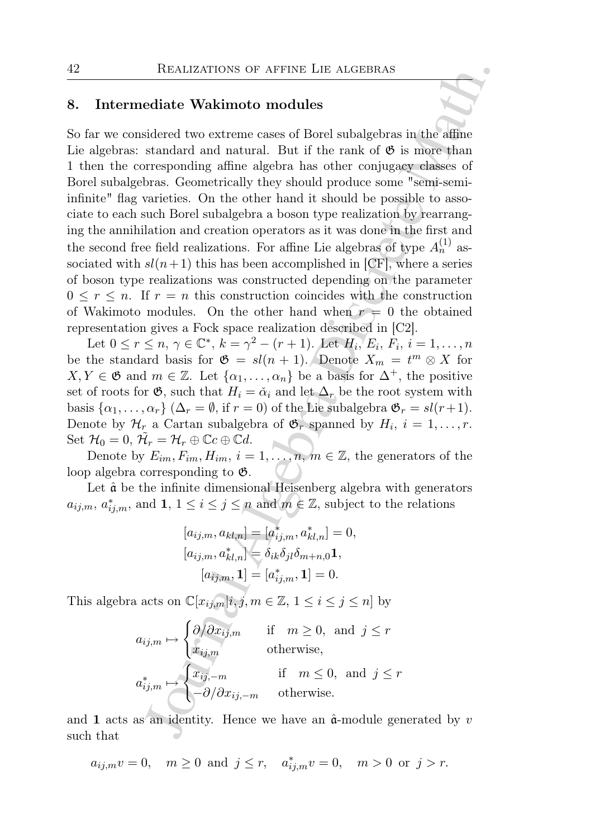#### 8. Intermediate Wakimoto modules

REALIZATIONS OF AFFINE LIE ALGEBRAS<br>
ediate Wakimoto modules<br>
sidered two extreme cases of Borel subalgebras in the affine<br>
standard and natural. But if the rank of  $\mathfrak{G}$  is more than<br>
transformal affine algebra has o So far we considered two extreme cases of Borel subalgebras in the affine Lie algebras: standard and natural. But if the rank of  $\mathfrak{G}$  is more than 1 then the corresponding affine algebra has other conjugacy classes of Borel subalgebras. Geometrically they should produce some "semi-semiinfinite" flag varieties. On the other hand it should be possible to associate to each such Borel subalgebra a boson type realization by rearranging the annihilation and creation operators as it was done in the first and the second free field realizations. For affine Lie algebras of type  $A_n^{(1)}$  associated with  $sl(n+1)$  this has been accomplished in [CF], where a series of boson type realizations was constructed depending on the parameter  $0 \leq r \leq n$ . If  $r = n$  this construction coincides with the construction of Wakimoto modules. On the other hand when  $r = 0$  the obtained representation gives a Fock space realization described in [C2].

Let  $0 \le r \le n, \, \gamma \in \mathbb{C}^*, \, k = \gamma^2 - (r+1)$ . Let  $H_i, E_i, F_i, i = 1, \dots, n$ be the standard basis for  $\mathfrak{G} = sl(n + 1)$ . Denote  $X_m = t^m \otimes X$  for  $X, Y \in \mathfrak{G}$  and  $m \in \mathbb{Z}$ . Let  $\{\alpha_1, \ldots, \alpha_n\}$  be a basis for  $\Delta^+$ , the positive set of roots for  $\mathfrak{G}$ , such that  $H_i = \check{\alpha}_i$  and let  $\Delta_r$  be the root system with basis  $\{\alpha_1, \ldots, \alpha_r\}$   $(\Delta_r = \emptyset, \text{ if } r = 0)$  of the Lie subalgebra  $\mathfrak{G}_r = sl(r+1)$ . Denote by  $\mathcal{H}_r$  a Cartan subalgebra of  $\mathfrak{G}_r$  spanned by  $H_i$ ,  $i = 1, \ldots, r$ . Set  $\mathcal{H}_0 = 0$ ,  $\tilde{\mathcal{H}}_r = \mathcal{H}_r \oplus \mathbb{C}c \oplus \mathbb{C}d$ .

Denote by  $E_{im}, F_{im}, H_{im}, i = 1, \ldots, n, m \in \mathbb{Z}$ , the generators of the loop algebra corresponding to G.

Let  $\hat{a}$  be the infinite dimensional Heisenberg algebra with generators  $a_{ij,m}, a^*_{ij,m}$ , and  $1, 1 \leq i \leq j \leq n$  and  $m \in \mathbb{Z}$ , subject to the relations

$$
[a_{ij,m}, a_{kl,n}] = [a_{ij,m}^*, a_{kl,n}^*] = 0,
$$
  
\n
$$
[a_{ij,m}, a_{kl,n}^*] = \delta_{ik}\delta_{jl}\delta_{m+n,0}\mathbf{1},
$$
  
\n
$$
[a_{ij,m}, \mathbf{1}] = [a_{ij,m}^*, \mathbf{1}] = 0.
$$

This algebra acts on  $\mathbb{C}[x_{ij,m}|i,j,m \in \mathbb{Z}, 1 \leq i \leq j \leq n]$  by

$$
a_{ij,m} \mapsto \begin{cases} \partial/\partial x_{ij,m} & \text{if } m \ge 0, \text{ and } j \le r \\ x_{ij,m} & \text{otherwise,} \end{cases}
$$

$$
a_{ij,m}^* \mapsto \begin{cases} x_{ij,-m} & \text{if } m \le 0, \text{ and } j \le r \\ -\partial/\partial x_{ij,-m} & \text{otherwise.} \end{cases}
$$

and 1 acts as an identity. Hence we have an  $\hat{\mathfrak{a}}$ -module generated by v such that

$$
a_{ij,m}v = 0
$$
,  $m \ge 0$  and  $j \le r$ ,  $a_{ij,m}^*v = 0$ ,  $m > 0$  or  $j > r$ .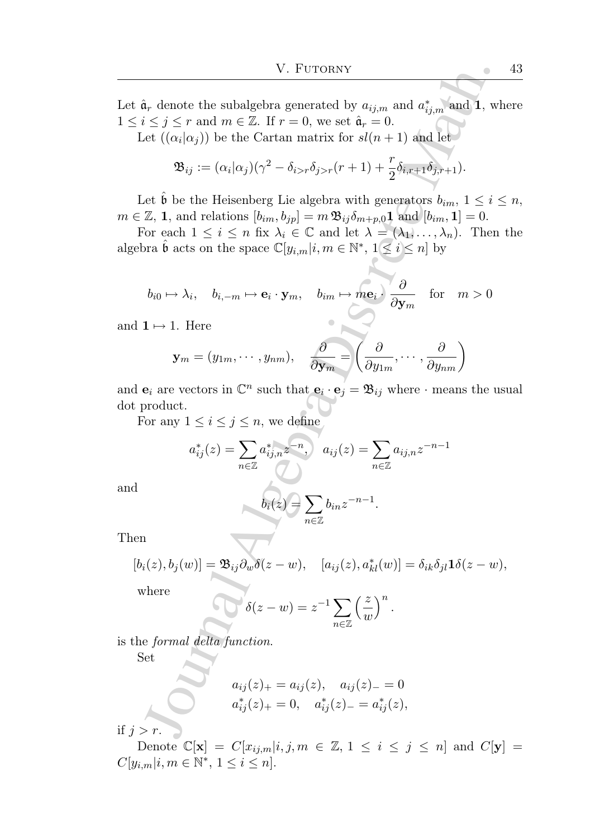V. Furtons<br>  $\alpha_i$ , denote the subalgebra generated by  $a_{ij,m}$  and<br>  $a_{ij,m}^*$  and  $a_{ij,m}^*$  and  $A$ , with<br>  $\alpha_i \in j \leq r$  and  $m \in \mathbb{Z}$ . If  $r = 0$ , we set  $\hat{a}_r = 0$ .<br>  $\mathfrak{B}_{ij} := (\alpha_i|\alpha_j)(\gamma^2 - \delta_{i>r}\delta_{j>r}(r+1) + \frac{r}{2}\delta_{i\overline{n$ Let  $\hat{\mathfrak{a}}_r$  denote the subalgebra generated by  $a_{ij,m}$  and  $a^*_{ij,m}$  and 1, where  $1 \leq i \leq j \leq r$  and  $m \in \mathbb{Z}$ . If  $r = 0$ , we set  $\hat{\mathfrak{a}}_r = 0$ .

Let  $((\alpha_i|\alpha_j))$  be the Cartan matrix for  $sl(n+1)$  and let

$$
\mathfrak{B}_{ij} := (\alpha_i|\alpha_j)(\gamma^2 - \delta_{i>r}\delta_{j>r}(r+1) + \frac{r}{2}\delta_{i,r+1}\delta_{j,r+1}).
$$

Let  $\hat{\mathfrak{b}}$  be the Heisenberg Lie algebra with generators  $b_{im}$ ,  $1 \leq i \leq n$ ,  $m \in \mathbb{Z}, \mathbf{1}, \text{ and relations } [b_{im}, b_{jp}] = m \, \mathfrak{B}_{ij} \delta_{m+p,0} \mathbf{1}$  and  $[b_{im}, \mathbf{1}] = 0.$ 

For each  $1 \leq i \leq n$  fix  $\lambda_i \in \mathbb{C}$  and let  $\lambda = (\lambda_1, \ldots, \lambda_n)$ . Then the algebra  $\hat{\mathfrak{b}}$  acts on the space  $\mathbb{C}[y_{i,m}|i,m \in \mathbb{N}^*, 1 \leq i \leq n]$  by

$$
b_{i0} \mapsto \lambda_i, \quad b_{i,-m} \mapsto \mathbf{e}_i \cdot \mathbf{y}_m, \quad b_{im} \mapsto m\mathbf{e}_i \cdot \frac{\partial}{\partial \mathbf{y}_m} \quad \text{for} \quad m > 0
$$

and  $1 \mapsto 1$ . Here

$$
\mathbf{y}_m = (y_{1m}, \dots, y_{nm}), \quad \frac{\partial}{\partial \mathbf{y}_m} = \left(\frac{\partial}{\partial y_{1m}}, \dots, \frac{\partial}{\partial y_{nm}}\right)
$$

and  $\mathbf{e}_i$  are vectors in  $\mathbb{C}^n$  such that  $\mathbf{e}_i \cdot \mathbf{e}_j = \mathfrak{B}_{ij}$  where  $\cdot$  means the usual dot product.

For any  $1 \leq i \leq j \leq n$ , we define

$$
a_{ij}^*(z) = \sum_{n \in \mathbb{Z}} a_{ij,n}^* z^{-n}, \quad a_{ij}(z) = \sum_{n \in \mathbb{Z}} a_{ij,n} z^{-n-1}
$$

and

$$
b_i(z) = \sum_{n \in \mathbb{Z}} b_{in} z^{-n-1}.
$$

Then

$$
[b_i(z), b_j(w)] = \mathfrak{B}_{ij} \partial_w \delta(z - w), \quad [a_{ij}(z), a_{kl}^*(w)] = \delta_{ik} \delta_{jl} \mathbf{1} \delta(z - w),
$$

where

$$
\delta(z-w) = z^{-1} \sum_{n \in \mathbb{Z}} \left(\frac{z}{w}\right)^n.
$$

is the formal delta function.

Set

$$
a_{ij}(z)_+ = a_{ij}(z), \quad a_{ij}(z)_- = 0
$$
  
 $a_{ij}^*(z)_+ = 0, \quad a_{ij}^*(z)_- = a_{ij}^*(z),$ 

if  $j > r$ .

Denote  $\mathbb{C}[\mathbf{x}] = C[x_{ij,m}|i, j, m \in \mathbb{Z}, 1 \leq i \leq j \leq n]$  and  $C[\mathbf{y}] =$  $C[y_{i,m}|i, m \in \mathbb{N}^*, 1 \leq i \leq n].$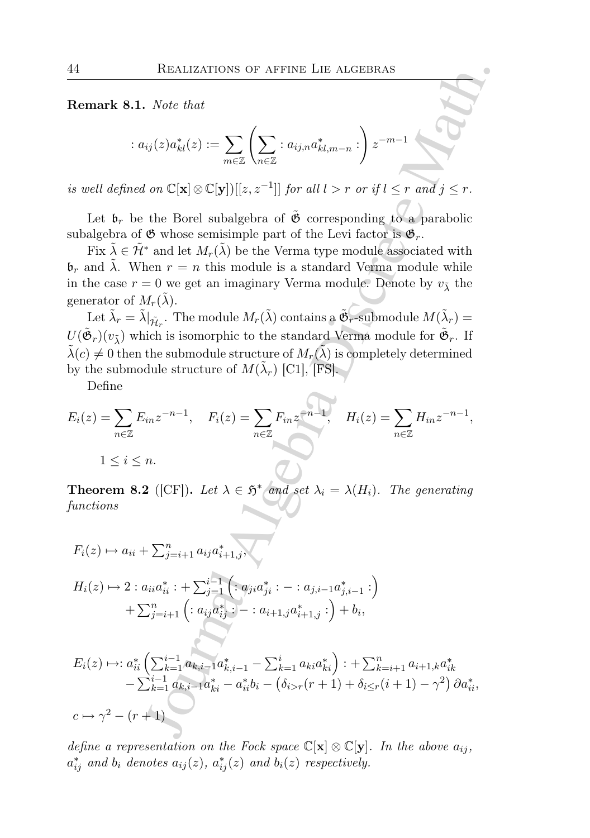Remark 8.1. Note that

$$
: a_{ij}(z)a_{kl}^*(z) := \sum_{m \in \mathbb{Z}} \left( \sum_{n \in \mathbb{Z}} :a_{ij,n}a_{kl,m-n}^* : \right) z^{-m-1}
$$

is well defined on  $\mathbb{C}[\mathbf{x}] \otimes \mathbb{C}[\mathbf{y}]][[z, z^{-1}]]$  for all  $l > r$  or if  $l \leq r$  and  $j \leq r$ .

Let  $\mathfrak{b}_r$  be the Borel subalgebra of  $\tilde{\mathfrak{G}}$  corresponding to a parabolic subalgebra of  $\mathfrak G$  whose semisimple part of the Levi factor is  $\mathfrak G_r$ .

Fix  $\tilde{\lambda} \in \tilde{\mathcal{H}}^*$  and let  $M_r(\tilde{\lambda})$  be the Verma type module associated with  $\mathfrak{b}_r$  and  $\tilde{\lambda}$ . When  $r = n$  this module is a standard Verma module while in the case  $r = 0$  we get an imaginary Verma module. Denote by  $v_1$  the generator of  $M_r(\tilde{\lambda})$ .

Let  $\tilde{\lambda}_r = \tilde{\lambda}|_{\tilde{\mathcal{H}}_r}$ . The module  $M_r(\tilde{\lambda})$  contains a  $\tilde{\mathfrak{G}}_r$ -submodule  $M(\tilde{\lambda}_r)$  =  $U(\tilde{\mathfrak{G}}_r)(v_{\tilde{\lambda}})$  which is isomorphic to the standard Verma module for  $\tilde{\mathfrak{G}}_r$ . If  $\tilde{\lambda}(c) \neq 0$  then the submodule structure of  $M_r(\tilde{\lambda})$  is completely determined by the submodule structure of  $M(\tilde{\lambda}_r)$  [C1], [FS].

Define

$$
E_i(z) = \sum_{n \in \mathbb{Z}} E_{in} z^{-n-1}, \quad F_i(z) = \sum_{n \in \mathbb{Z}} F_{in} z^{-n-1}, \quad H_i(z) = \sum_{n \in \mathbb{Z}} H_{in} z^{-n-1},
$$
  

$$
1 \le i \le n.
$$

**Theorem 8.2** ([CF]). Let  $\lambda \in \mathfrak{H}^*$  and set  $\lambda_i = \lambda(H_i)$ . The generating functions

REALIZATIONS OF AFFINE LIE ALGEBRAS  
\n**Remark 8.1.** Note that  
\n
$$
: a_{ij}(z)a_{kl}^*(z) := \sum_{m \in \mathbb{Z}} \left( \sum_{n \in \mathbb{Z}} : a_{ij,n}a_{kl,m-n}^* : \right) z^{-m-1}
$$
\ns well defined on  $\mathbb{C}[\mathbf{x}] \otimes \mathbb{C}[\mathbf{y}][[z, z^{-1}]]$  for all  $l > r$  or if  $l \leq r$  and  $j \leq r$ .  
\nLet  $\mathbf{b}_r$  be the Borel subalgebra of  $\tilde{\mathbf{C}}$  corresponding to a parabolic  
\nubalgebra of  $\mathfrak{G}$  whose semisimple part of the Levi factor is  $\mathfrak{G}_r$ .  
\nFirst  $\tilde{\lambda} \in \tilde{\mathcal{H}}^*$  and let  $M_r(\tilde{\lambda})$  be the Verma type module associated with  
\n $\mathbf{b}_r$  and  $\lambda$ . When  $r = n$  this module is a standard Verma module while  
\nthe case  $r = 0$  we get an imaginary Verma module. Denote by  $v_{\tilde{\lambda}}$  the  
\ngenerator of  $M_r(\tilde{\lambda})$ .  
\nLet  $\tilde{\lambda}_r = \tilde{\lambda}|_{\tilde{\mathcal{H}}_r}$ . The module  $M_r(\tilde{\lambda})$  contains a  $\tilde{\mathfrak{G}}_r$ -submodule  $M(\tilde{\lambda}_r) =$   
\n $U(\tilde{\mathfrak{G}}_r)(v_{\tilde{\lambda}})$  which is isomorphic to the standard Verma module for  $\tilde{\mathfrak{G}}_r$ . If  
\n $(c) \neq 0$  then the submodule structure of  $M(\tilde{\lambda}_r)$  [C1], [FS].  
\nDefine  
\n $\mathbb{E}_i(z) = \sum_{n \in \mathbb{Z}} E_{in} z^{-n-1}$ ,  $F_i(z) = \sum_{n \in \mathbb{Z}} F_{in} z^{-n-1}$ ,  
\n $1 \leq i \leq n$ .  
\n**Theorem 8.2** ([CF]). Let  $\lambda \in \tilde{\mathfrak{H}}^*$  and set  $\lambda_i = \lambda(H_i)$ . The generating  
\nfunctions  
\n<

 $c \mapsto \gamma^2 - (r+1)$ 

define a representation on the Fock space  $\mathbb{C}[\mathbf{x}] \otimes \mathbb{C}[\mathbf{y}]$ . In the above  $a_{ij}$ ,  $a_{ij}^*$  and  $b_i$  denotes  $a_{ij}(z)$ ,  $a_{ij}^*(z)$  and  $b_i(z)$  respectively.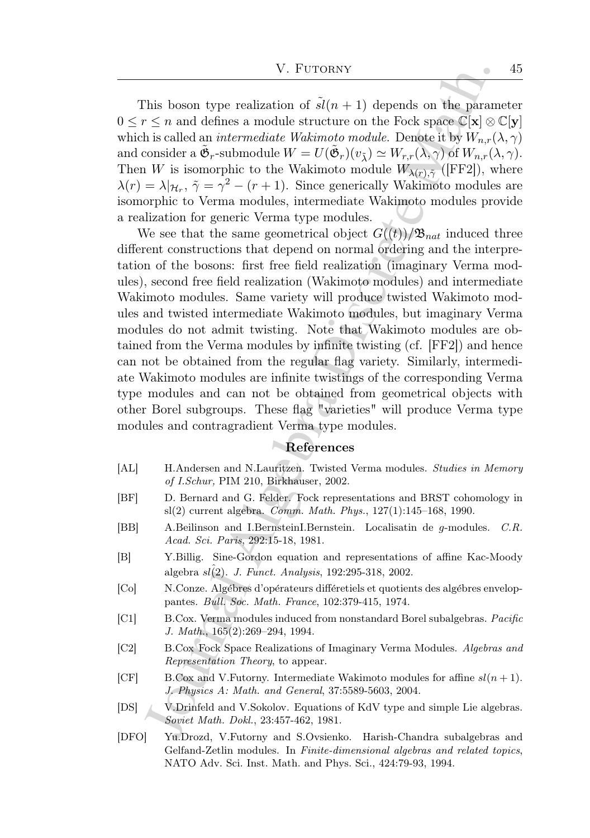This boson type realization of  $sl(n + 1)$  depends on the parameter  $0 \leq r \leq n$  and defines a module structure on the Fock space  $\mathbb{C}[\mathbf{x}] \otimes \mathbb{C}[\mathbf{y}]$ which is called an *intermediate Wakimoto module*. Denote it by  $W_{n,r}(\lambda, \gamma)$ and consider a  $\tilde{\mathfrak{G}}_r$ -submodule  $W = U(\tilde{\mathfrak{G}}_r)(v_{\tilde{\lambda}}) \simeq W_{r,r}(\lambda, \gamma)$  of  $W_{n,r}(\lambda, \gamma)$ . Then W is isomorphic to the Wakimoto module  $W_{\lambda(r), \tilde{\gamma}}$  ([FF2]), where  $\lambda(r) = \lambda | \mathcal{H}_r, \tilde{\gamma} = \gamma^2 - (r+1)$ . Since generically Wakimoto modules are isomorphic to Verma modules, intermediate Wakimoto modules provide a realization for generic Verma type modules.

V. Furtons<br>
Y. Furtons<br>
Y. Furtons of  $\hat{s}(n+1)$  depends on the paramely<br> $\leq n$  and defines a module structure on the Fock space<br> $\mathbb{C}[X]\otimes \mathbb{C}[X]\otimes \mathbb{C}[X]\otimes \mathbb{C}[X]\otimes \mathbb{C}[X]\otimes \mathbb{C}[X]\otimes \mathbb{C}[X]\otimes \mathbb{C}[X]\otimes \mathbb{C}[X]\otimes \$ We see that the same geometrical object  $G((t))/\mathfrak{B}_{nat}$  induced three different constructions that depend on normal ordering and the interpretation of the bosons: first free field realization (imaginary Verma modules), second free field realization (Wakimoto modules) and intermediate Wakimoto modules. Same variety will produce twisted Wakimoto modules and twisted intermediate Wakimoto modules, but imaginary Verma modules do not admit twisting. Note that Wakimoto modules are obtained from the Verma modules by infinite twisting (cf. [FF2]) and hence can not be obtained from the regular flag variety. Similarly, intermediate Wakimoto modules are infinite twistings of the corresponding Verma type modules and can not be obtained from geometrical objects with other Borel subgroups. These flag "varieties" will produce Verma type modules and contragradient Verma type modules.

### References

- [AL] H.Andersen and N.Lauritzen. Twisted Verma modules. Studies in Memory of I.Schur, PIM 210, Birkhauser, 2002.
- [BF] D. Bernard and G. Felder. Fock representations and BRST cohomology in sl(2) current algebra. Comm. Math. Phys., 127(1):145–168, 1990.
- [BB] A.Beilinson and I.BernsteinI.Bernstein. Localisatin de g-modules. C.R. Acad. Sci. Paris, 292:15-18, 1981.
- [B] Y.Billig. Sine-Gordon equation and representations of affine Kac-Moody algebra  $sl(2)$ . J. Funct. Analysis, 192:295-318, 2002.
- [Co] N.Conze. Algébres d'opérateurs différetiels et quotients des algébres enveloppantes. Bull. Soc. Math. France, 102:379-415, 1974.
- [C1] B.Cox. Verma modules induced from nonstandard Borel subalgebras. Pacific J. Math., 165(2):269–294, 1994.
- [C2] B.Cox Fock Space Realizations of Imaginary Verma Modules. Algebras and Representation Theory, to appear.
- $[CF]$  B.Cox and V. Futorny. Intermediate Wakimoto modules for affine  $sl(n+1)$ . J. Physics A: Math. and General, 37:5589-5603, 2004.
- [DS] V.Drinfeld and V.Sokolov. Equations of KdV type and simple Lie algebras. Soviet Math. Dokl., 23:457-462, 1981.
- [DFO] Yu.Drozd, V.Futorny and S.Ovsienko. Harish-Chandra subalgebras and Gelfand-Zetlin modules. In Finite-dimensional algebras and related topics, NATO Adv. Sci. Inst. Math. and Phys. Sci., 424:79-93, 1994.